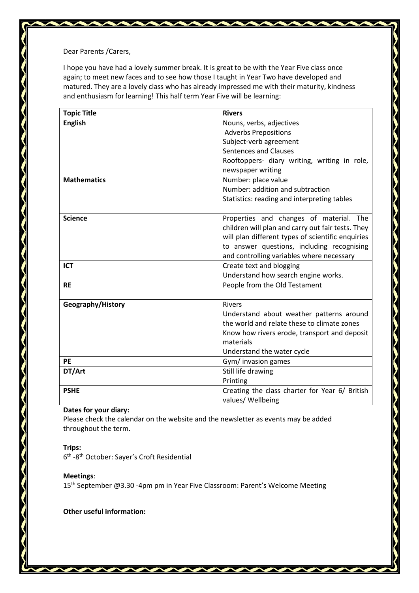Dear Parents /Carers,

I hope you have had a lovely summer break. It is great to be with the Year Five class once again; to meet new faces and to see how those I taught in Year Two have developed and matured. They are a lovely class who has already impressed me with their maturity, kindness and enthusiasm for learning! This half term Year Five will be learning:

| <b>Topic Title</b> | <b>Rivers</b>                                     |
|--------------------|---------------------------------------------------|
| <b>English</b>     | Nouns, verbs, adjectives                          |
|                    | <b>Adverbs Prepositions</b>                       |
|                    | Subject-verb agreement                            |
|                    | Sentences and Clauses                             |
|                    | Rooftoppers- diary writing, writing in role,      |
|                    | newspaper writing                                 |
| <b>Mathematics</b> | Number: place value                               |
|                    | Number: addition and subtraction                  |
|                    | Statistics: reading and interpreting tables       |
|                    |                                                   |
| <b>Science</b>     | Properties and changes of material. The           |
|                    | children will plan and carry out fair tests. They |
|                    | will plan different types of scientific enquiries |
|                    | to answer questions, including recognising        |
|                    | and controlling variables where necessary         |
| <b>ICT</b>         | Create text and blogging                          |
|                    | Understand how search engine works.               |
| <b>RE</b>          | People from the Old Testament                     |
|                    |                                                   |
| Geography/History  | <b>Rivers</b>                                     |
|                    | Understand about weather patterns around          |
|                    | the world and relate these to climate zones       |
|                    | Know how rivers erode, transport and deposit      |
|                    | materials                                         |
|                    | Understand the water cycle                        |
| PE                 | Gym/ invasion games                               |
| DT/Art             | Still life drawing                                |
|                    | Printing                                          |
| <b>PSHE</b>        | Creating the class charter for Year 6/ British    |
|                    | values/ Wellbeing                                 |

## **Dates for your diary:**

Please check the calendar on the website and the newsletter as events may be added throughout the term.

## **Trips:**

6<sup>th</sup> -8<sup>th</sup> October: Sayer's Croft Residential

## **Meetings**:

15<sup>th</sup> September @3.30 -4pm pm in Year Five Classroom: Parent's Welcome Meeting

**Other useful information:**